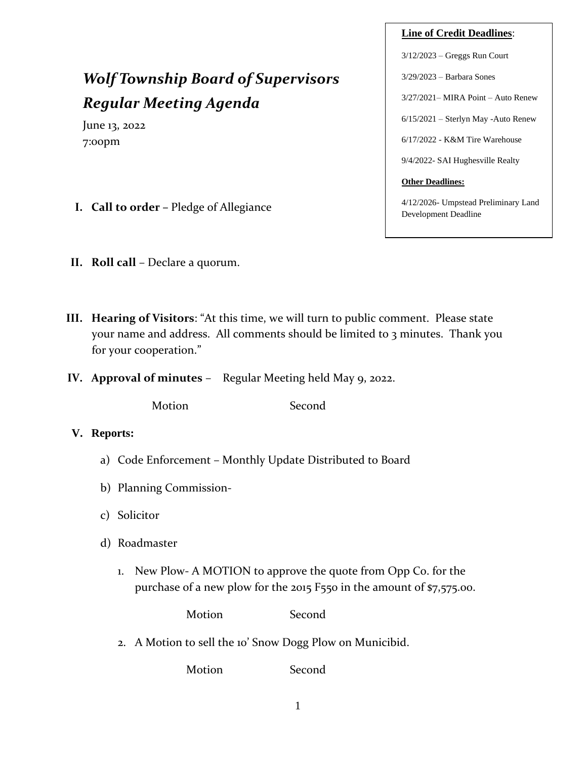## *Wolf Township Board of Supervisors Regular Meeting Agenda*

June 13, 2022 7:00pm

- **I. Call to order –** Pledge of Allegiance
- **II. Roll call** Declare a quorum.
- **III. Hearing of Visitors**: "At this time, we will turn to public comment. Please state your name and address. All comments should be limited to 3 minutes. Thank you for your cooperation."
- **IV. Approval of minutes** Regular Meeting held May 9, 2022.

Motion Second

### **V. Reports:**

- a) Code Enforcement Monthly Update Distributed to Board
- b) Planning Commission-
- c) Solicitor
- d) Roadmaster
	- 1. New Plow- A MOTION to approve the quote from Opp Co. for the purchase of a new plow for the 2015 F550 in the amount of \$7,575.00.

Motion Second

2. A Motion to sell the 10' Snow Dogg Plow on Municibid.

Motion Second

# **Line of Credit Deadlines**:

3/12/2023 – Greggs Run Court

3/29/2023 – Barbara Sones

3/27/2021– MIRA Point – Auto Renew

6/15/2021 – Sterlyn May -Auto Renew

6/17/2022 - K&M Tire Warehouse

9/4/2022- SAI Hughesville Realty

#### **Other Deadlines:**

4/12/2026- Umpstead Preliminary Land Development Deadline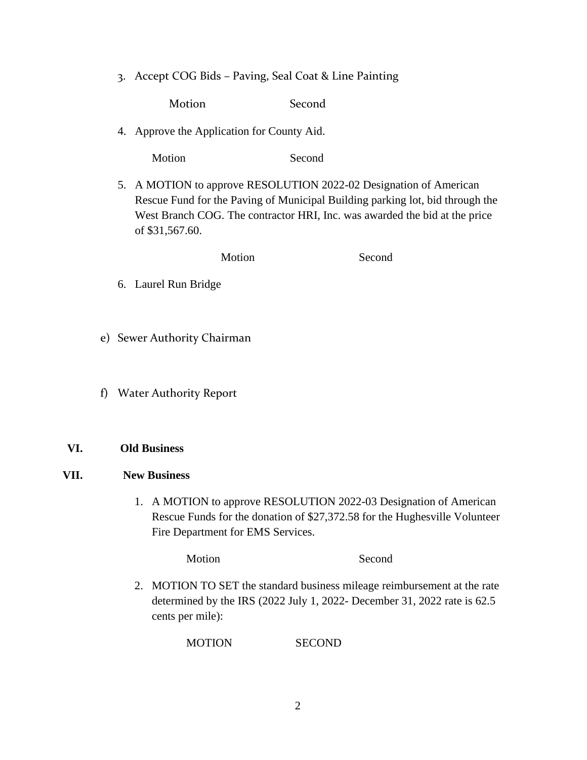3. Accept COG Bids – Paving, Seal Coat & Line Painting

Motion Second

4. Approve the Application for County Aid.

Motion Second

5. A MOTION to approve RESOLUTION 2022-02 Designation of American Rescue Fund for the Paving of Municipal Building parking lot, bid through the West Branch COG. The contractor HRI, Inc. was awarded the bid at the price of \$31,567.60.

Motion Second

- 6. Laurel Run Bridge
- e) Sewer Authority Chairman
- f) Water Authority Report

#### **VI. Old Business**

#### **VII. New Business**

1. A MOTION to approve RESOLUTION 2022-03 Designation of American Rescue Funds for the donation of \$27,372.58 for the Hughesville Volunteer Fire Department for EMS Services.

Motion Second

2. MOTION TO SET the standard business mileage reimbursement at the rate determined by the IRS (2022 July 1, 2022- December 31, 2022 rate is 62.5 cents per mile):

MOTION SECOND